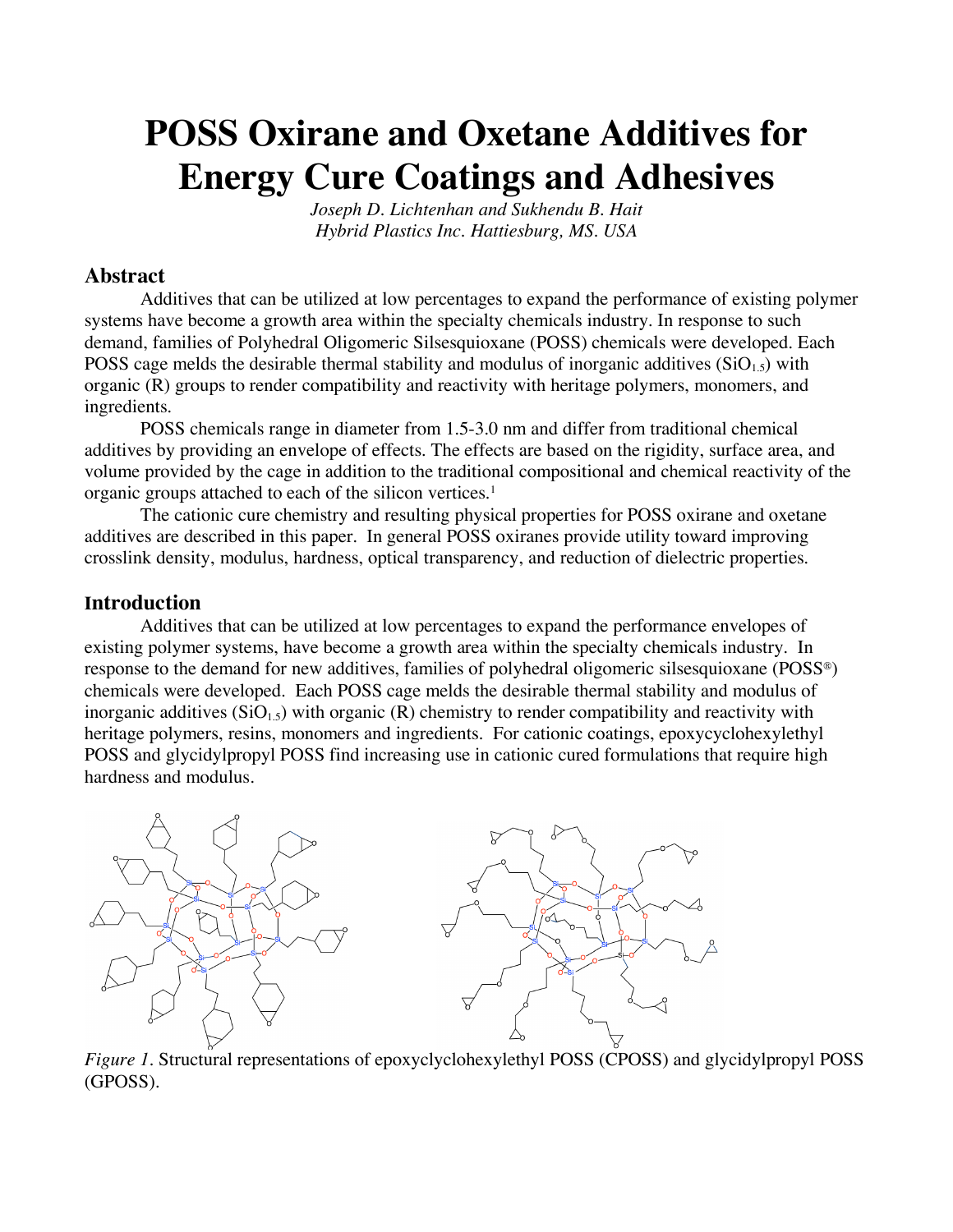# **POSS Oxirane and Oxetane Additives for Energy Cure Coatings and Adhesives**

*Joseph D. Lichtenhan and Sukhendu B. Hait Hybrid Plastics Inc. Hattiesburg, MS. USA*

## **Abstract**

Additives that can be utilized at low percentages to expand the performance of existing polymer systems have become a growth area within the specialty chemicals industry. In response to such demand, families of Polyhedral Oligomeric Silsesquioxane (POSS) chemicals were developed. Each POSS cage melds the desirable thermal stability and modulus of inorganic additives  $(SiO<sub>1.5</sub>)$  with organic (R) groups to render compatibility and reactivity with heritage polymers, monomers, and ingredients.

POSS chemicals range in diameter from 1.5-3.0 nm and differ from traditional chemical additives by providing an envelope of effects. The effects are based on the rigidity, surface area, and volume provided by the cage in addition to the traditional compositional and chemical reactivity of the organic groups attached to each of the silicon vertices.1

The cationic cure chemistry and resulting physical properties for POSS oxirane and oxetane additives are described in this paper. In general POSS oxiranes provide utility toward improving crosslink density, modulus, hardness, optical transparency, and reduction of dielectric properties.

#### **Introduction**

Additives that can be utilized at low percentages to expand the performance envelopes of existing polymer systems, have become a growth area within the specialty chemicals industry. In response to the demand for new additives, families of polyhedral oligomeric silsesquioxane (POSS®) chemicals were developed. Each POSS cage melds the desirable thermal stability and modulus of inorganic additives  $(SiO<sub>1.5</sub>)$  with organic  $(R)$  chemistry to render compatibility and reactivity with heritage polymers, resins, monomers and ingredients. For cationic coatings, epoxycyclohexylethyl POSS and glycidylpropyl POSS find increasing use in cationic cured formulations that require high hardness and modulus.





*Figure 1.* Structural representations of epoxyclyclohexylethyl POSS (CPOSS) and glycidylpropyl POSS (GPOSS).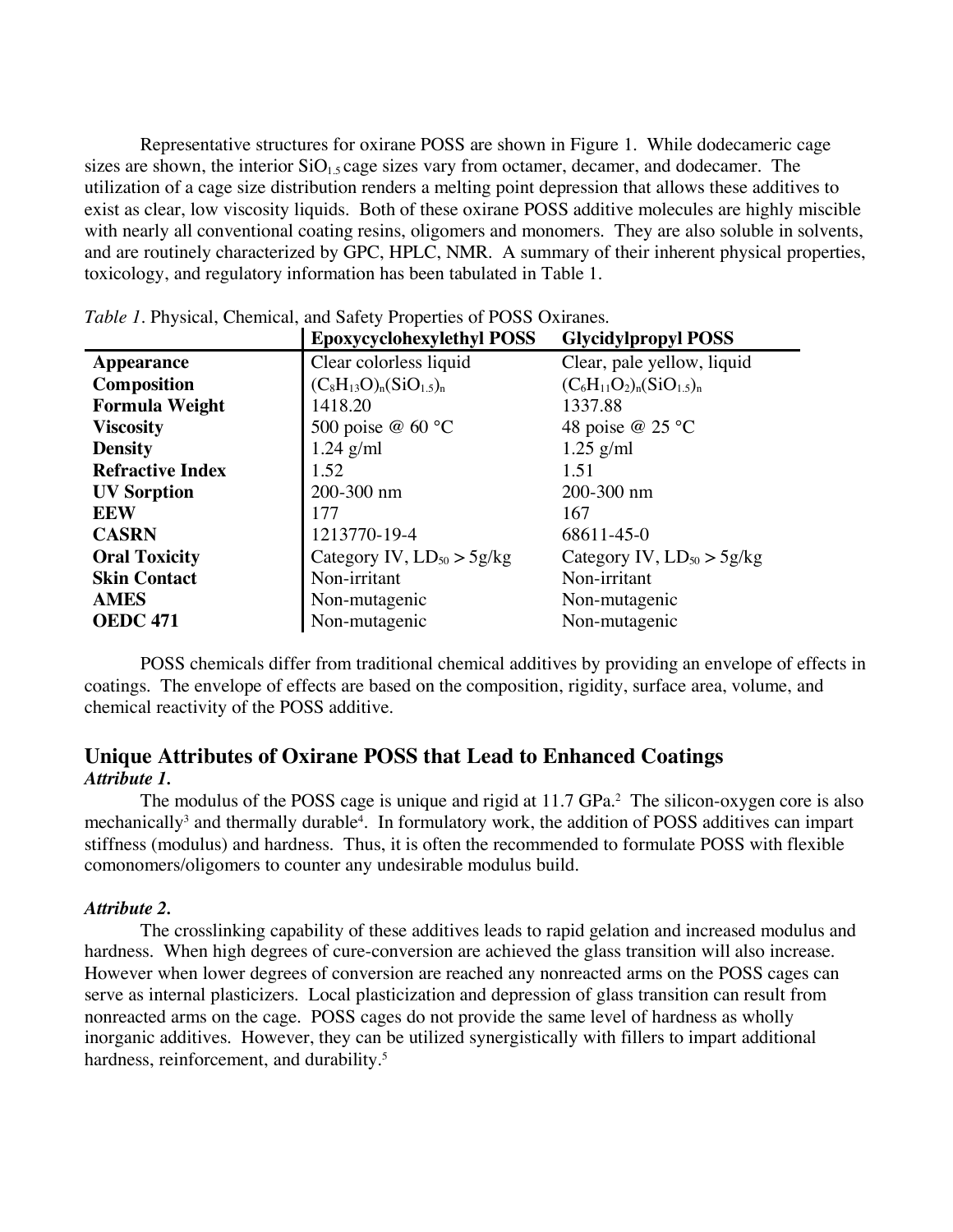Representative structures for oxirane POSS are shown in Figure 1. While dodecameric cage sizes are shown, the interior  $SiO<sub>1.5</sub>$  cage sizes vary from octamer, decamer, and dodecamer. The utilization of a cage size distribution renders a melting point depression that allows these additives to exist as clear, low viscosity liquids. Both of these oxirane POSS additive molecules are highly miscible with nearly all conventional coating resins, oligomers and monomers. They are also soluble in solvents, and are routinely characterized by GPC, HPLC, NMR. A summary of their inherent physical properties, toxicology, and regulatory information has been tabulated in Table 1.

|                         | <b>Epoxycyclohexylethyl POSS</b>  | <b>Glycidylpropyl POSS</b>      |
|-------------------------|-----------------------------------|---------------------------------|
| <b>Appearance</b>       | Clear colorless liquid            | Clear, pale yellow, liquid      |
| <b>Composition</b>      | $(C_8H_{13}O)_{n}(SiO_{1.5})_{n}$ | $(C_6H_{11}O_2)_n(SiO_{1.5})_n$ |
| <b>Formula Weight</b>   | 1418.20                           | 1337.88                         |
| <b>Viscosity</b>        | 500 poise @ 60 °C                 | 48 poise @ 25 °C                |
| <b>Density</b>          | $1.24$ g/ml                       | $1.25$ g/ml                     |
| <b>Refractive Index</b> | 1.52                              | 1.51                            |
| <b>UV</b> Sorption      | 200-300 nm                        | 200-300 nm                      |
| <b>EEW</b>              | 177                               | 167                             |
| <b>CASRN</b>            | 1213770-19-4                      | 68611-45-0                      |
| <b>Oral Toxicity</b>    | Category IV, $LD_{50} > 5g/kg$    | Category IV, $LD_{50} > 5g/kg$  |
| <b>Skin Contact</b>     | Non-irritant                      | Non-irritant                    |
| <b>AMES</b>             | Non-mutagenic                     | Non-mutagenic                   |
| <b>OEDC 471</b>         | Non-mutagenic                     | Non-mutagenic                   |

*Table 1.* Physical, Chemical, and Safety Properties of POSS Oxiranes.

POSS chemicals differ from traditional chemical additives by providing an envelope of effects in coatings. The envelope of effects are based on the composition, rigidity, surface area, volume, and chemical reactivity of the POSS additive.

## **Unique Attributes of Oxirane POSS that Lead to Enhanced Coatings** *Attribute 1.*

The modulus of the POSS cage is unique and rigid at 11.7 GPa. 2 The silicon-oxygen core is also mechanically<sup>3</sup> and thermally durable<sup>4</sup>. In formulatory work, the addition of POSS additives can impart stiffness (modulus) and hardness. Thus, it is often the recommended to formulate POSS with flexible comonomers/oligomers to counter any undesirable modulus build.

#### *Attribute 2.*

The crosslinking capability of these additives leads to rapid gelation and increased modulus and hardness. When high degrees of cure-conversion are achieved the glass transition will also increase. However when lower degrees of conversion are reached any nonreacted arms on the POSS cages can serve as internal plasticizers. Local plasticization and depression of glass transition can result from nonreacted arms on the cage. POSS cages do not provide the same level of hardness as wholly inorganic additives. However, they can be utilized synergistically with fillers to impart additional hardness, reinforcement, and durability.<sup>5</sup>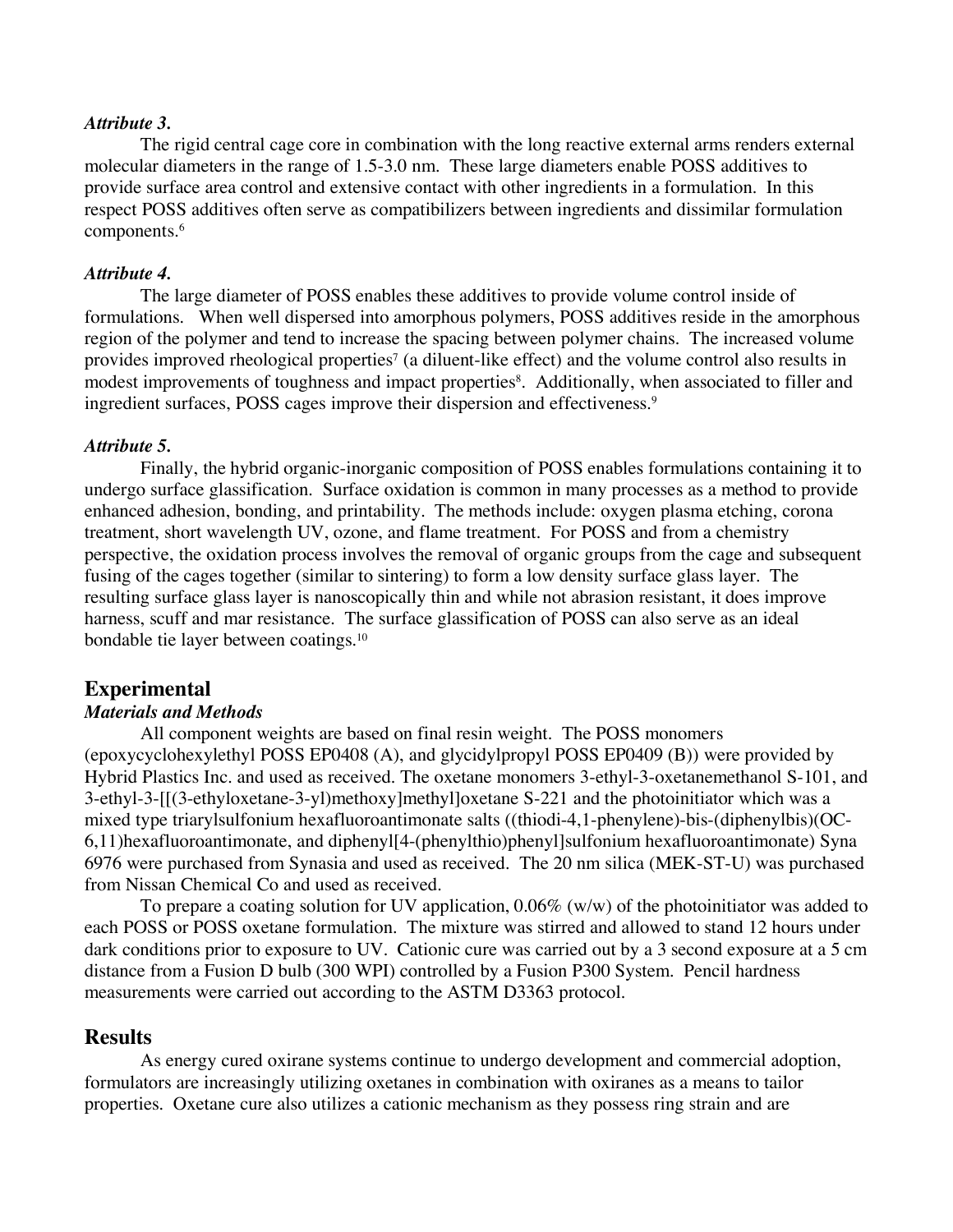#### *Attribute 3.*

The rigid central cage core in combination with the long reactive external arms renders external molecular diameters in the range of 1.5-3.0 nm. These large diameters enable POSS additives to provide surface area control and extensive contact with other ingredients in a formulation. In this respect POSS additives often serve as compatibilizers between ingredients and dissimilar formulation components.<sup>6</sup>

#### *Attribute 4.*

The large diameter of POSS enables these additives to provide volume control inside of formulations. When well dispersed into amorphous polymers, POSS additives reside in the amorphous region of the polymer and tend to increase the spacing between polymer chains. The increased volume provides improved rheological properties<sup>7</sup> (a diluent-like effect) and the volume control also results in modest improvements of toughness and impact properties<sup>8</sup>. Additionally, when associated to filler and ingredient surfaces, POSS cages improve their dispersion and effectiveness. 9

#### *Attribute 5.*

Finally, the hybrid organic-inorganic composition of POSS enables formulations containing it to undergo surface glassification. Surface oxidation is common in many processes as a method to provide enhanced adhesion, bonding, and printability. The methods include: oxygen plasma etching, corona treatment, short wavelength UV, ozone, and flame treatment. For POSS and from a chemistry perspective, the oxidation process involves the removal of organic groups from the cage and subsequent fusing of the cages together (similar to sintering) to form a low density surface glass layer. The resulting surface glass layer is nanoscopically thin and while not abrasion resistant, it does improve harness, scuff and mar resistance. The surface glassification of POSS can also serve as an ideal bondable tie layer between coatings.10

#### **Experimental**

#### *Materials and Methods*

All component weights are based on final resin weight. The POSS monomers (epoxycyclohexylethyl POSS EP0408 (A), and glycidylpropyl POSS EP0409 (B)) were provided by Hybrid Plastics Inc. and used as received. The oxetane monomers 3-ethyl-3-oxetanemethanol S-101, and 3-ethyl-3-[[(3-ethyloxetane-3-yl)methoxy]methyl]oxetane S-221 and the photoinitiator which was a mixed type triarylsulfonium hexafluoroantimonate salts ((thiodi-4,1-phenylene)-bis-(diphenylbis)(OC-6,11)hexafluoroantimonate, and diphenyl[4-(phenylthio)phenyl]sulfonium hexafluoroantimonate) Syna 6976 were purchased from Synasia and used as received. The 20 nm silica (MEK-ST-U) was purchased from Nissan Chemical Co and used as received.

To prepare a coating solution for UV application, 0.06% (w/w) of the photoinitiator was added to each POSS or POSS oxetane formulation. The mixture was stirred and allowed to stand 12 hours under dark conditions prior to exposure to UV. Cationic cure was carried out by a 3 second exposure at a 5 cm distance from a Fusion D bulb (300 WPI) controlled by a Fusion P300 System. Pencil hardness measurements were carried out according to the ASTM D3363 protocol.

#### **Results**

As energy cured oxirane systems continue to undergo development and commercial adoption, formulators are increasingly utilizing oxetanes in combination with oxiranes as a means to tailor properties. Oxetane cure also utilizes a cationic mechanism as they possess ring strain and are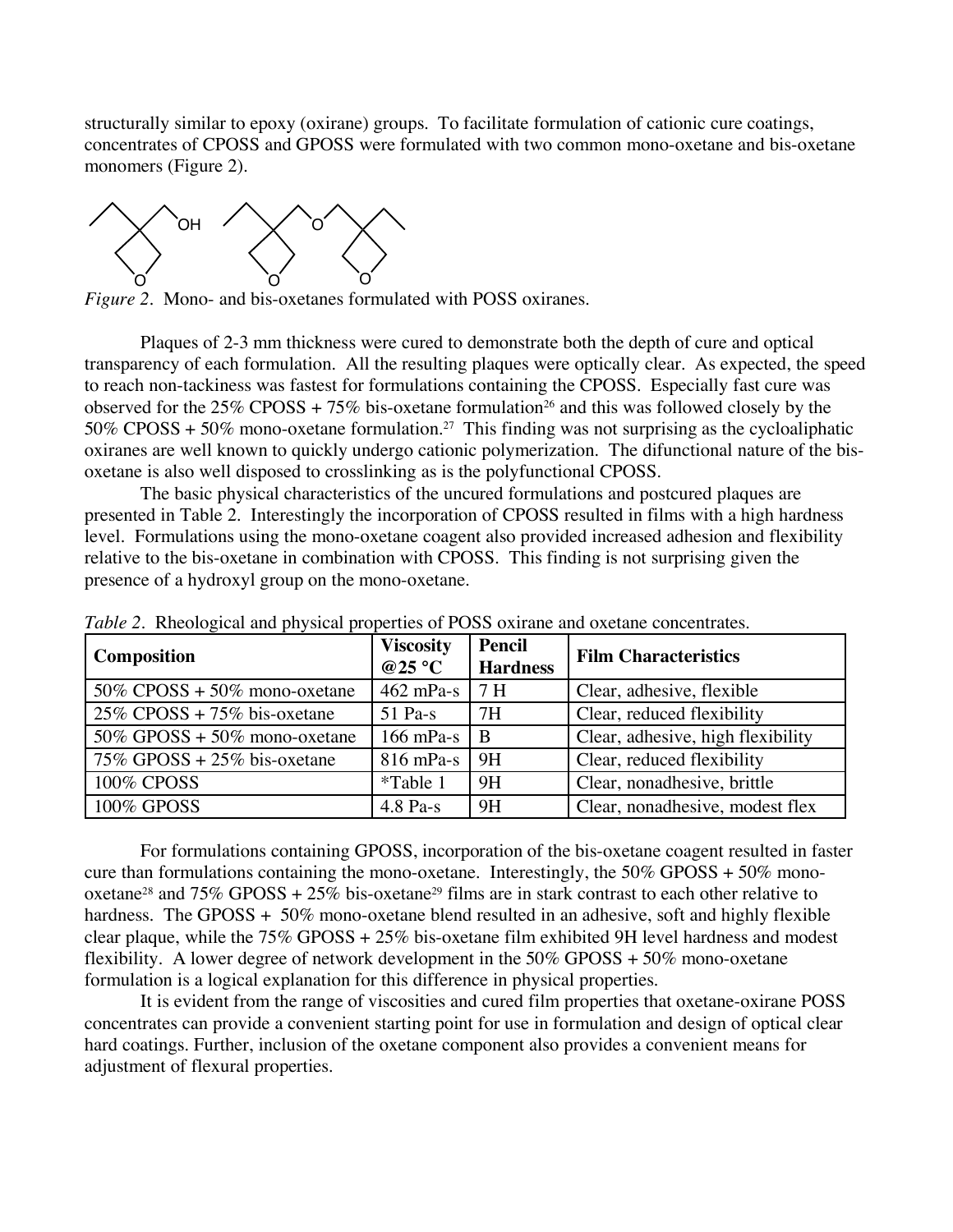structurally similar to epoxy (oxirane) groups. To facilitate formulation of cationic cure coatings, concentrates of CPOSS and GPOSS were formulated with two common mono-oxetane and bis-oxetane monomers (Figure 2).



*Figure 2*. Mono- and bis-oxetanes formulated with POSS oxiranes.

Plaques of 2-3 mm thickness were cured to demonstrate both the depth of cure and optical transparency of each formulation. All the resulting plaques were optically clear. As expected, the speed to reach non-tackiness was fastest for formulations containing the CPOSS. Especially fast cure was observed for the  $25\%$  CPOSS + 75% bis-oxetane formulation<sup>26</sup> and this was followed closely by the 50% CPOSS + 50% mono-oxetane formulation.<sup>27</sup> This finding was not surprising as the cycloaliphatic oxiranes are well known to quickly undergo cationic polymerization. The difunctional nature of the bisoxetane is also well disposed to crosslinking as is the polyfunctional CPOSS.

The basic physical characteristics of the uncured formulations and postcured plaques are presented in Table 2. Interestingly the incorporation of CPOSS resulted in films with a high hardness level. Formulations using the mono-oxetane coagent also provided increased adhesion and flexibility relative to the bis-oxetane in combination with CPOSS. This finding is not surprising given the presence of a hydroxyl group on the mono-oxetane.

| <b>Composition</b>                 | <b>Viscosity</b><br>@25 $\degree$ C | Pencil<br><b>Hardness</b> | <b>Film Characteristics</b>       |  |
|------------------------------------|-------------------------------------|---------------------------|-----------------------------------|--|
| $50\%$ CPOSS + $50\%$ mono-oxetane | $462$ mPa-s                         | 7 H                       | Clear, adhesive, flexible         |  |
| $25\%$ CPOSS + 75% bis-oxetane     | $51$ Pa-s                           | 7H                        | Clear, reduced flexibility        |  |
| $50\%$ GPOSS + 50% mono-oxetane    | $166$ mPa-s                         | B                         | Clear, adhesive, high flexibility |  |
| $75\%$ GPOSS + 25% bis-oxetane     | $816$ mPa-s                         | 9H                        | Clear, reduced flexibility        |  |
| <b>100% CPOSS</b>                  | *Table 1                            | 9H                        | Clear, nonadhesive, brittle       |  |
| 100% GPOSS                         | $4.8$ Pa-s                          | 9H                        | Clear, nonadhesive, modest flex   |  |

*Table 2.* Rheological and physical properties of POSS oxirane and oxetane concentrates.

For formulations containing GPOSS, incorporation of the bis-oxetane coagent resulted in faster cure than formulations containing the mono-oxetane. Interestingly, the  $50\%$  GPOSS +  $50\%$  monooxetane<sup>28</sup> and  $75\%$  GPOSS +  $25\%$  bis-oxetane<sup>29</sup> films are in stark contrast to each other relative to hardness. The GPOSS + 50% mono-oxetane blend resulted in an adhesive, soft and highly flexible clear plaque, while the 75% GPOSS + 25% bis-oxetane film exhibited 9H level hardness and modest flexibility. A lower degree of network development in the 50% GPOSS + 50% mono-oxetane formulation is a logical explanation for this difference in physical properties.

It is evident from the range of viscosities and cured film properties that oxetane-oxirane POSS concentrates can provide a convenient starting point for use in formulation and design of optical clear hard coatings. Further, inclusion of the oxetane component also provides a convenient means for adjustment of flexural properties.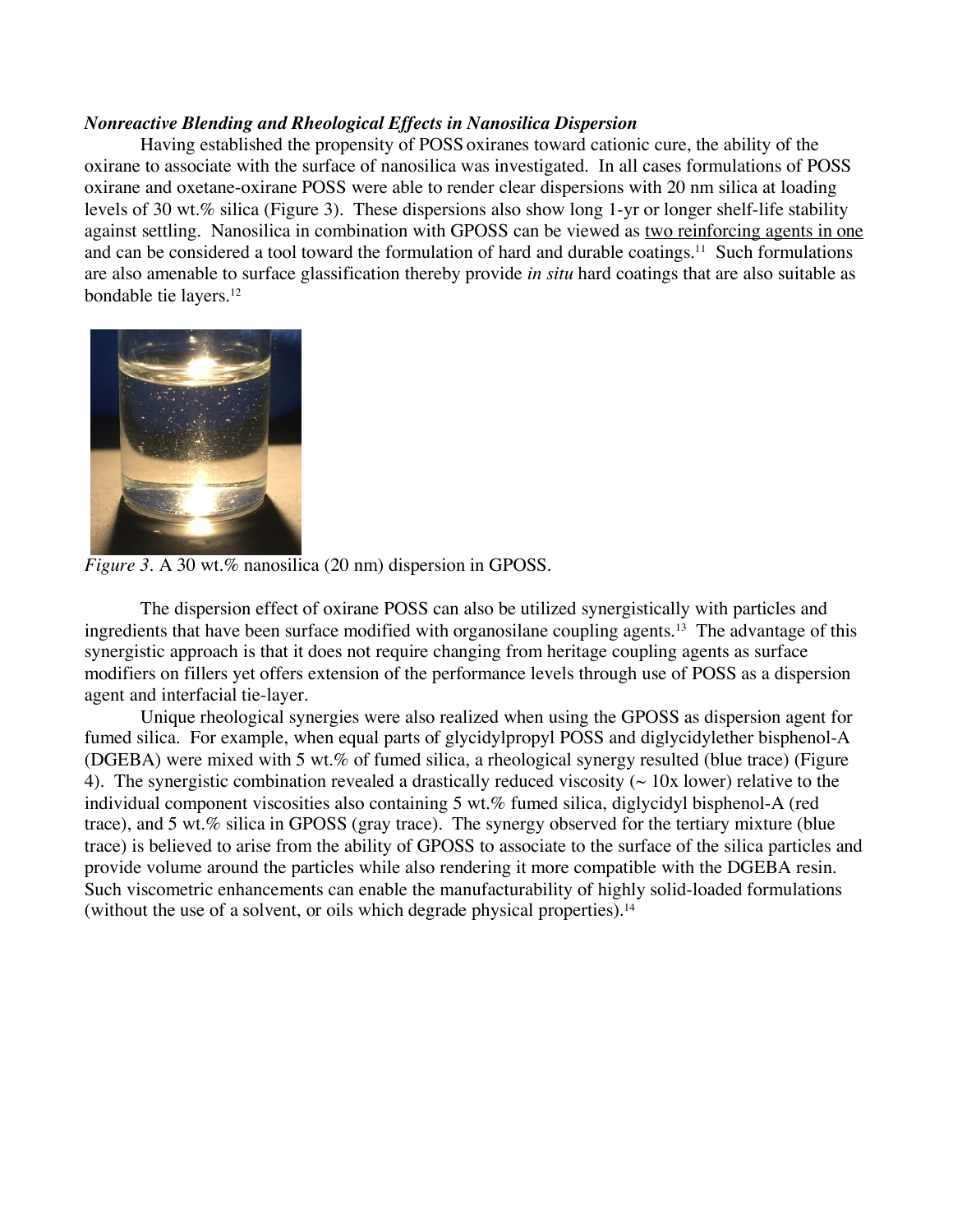#### *Nonreactive Blending and Rheological Effects in Nanosilica Dispersion*

Having established the propensity of POSS oxiranes toward cationic cure, the ability of the oxirane to associate with the surface of nanosilica was investigated. In all cases formulations of POSS oxirane and oxetane-oxirane POSS were able to render clear dispersions with 20 nm silica at loading levels of 30 wt.% silica (Figure 3). These dispersions also show long 1-yr or longer shelf-life stability against settling. Nanosilica in combination with GPOSS can be viewed as two reinforcing agents in one and can be considered a tool toward the formulation of hard and durable coatings.<sup>11</sup> Such formulations are also amenable to surface glassification thereby provide *in situ* hard coatings that are also suitable as bondable tie layers.12



*Figure 3. A 30 wt.% nanosilica (20 nm) dispersion in GPOSS.* 

The dispersion effect of oxirane POSS can also be utilized synergistically with particles and ingredients that have been surface modified with organosilane coupling agents.13 The advantage of this synergistic approach is that it does not require changing from heritage coupling agents as surface modifiers on fillers yet offers extension of the performance levels through use of POSS as a dispersion agent and interfacial tie-layer.

Unique rheological synergies were also realized when using the GPOSS as dispersion agent for fumed silica. For example, when equal parts of glycidylpropyl POSS and diglycidylether bisphenol-A (DGEBA) were mixed with 5 wt.% of fumed silica, a rheological synergy resulted (blue trace) (Figure 4). The synergistic combination revealed a drastically reduced viscosity  $($   $\sim$  10x lower) relative to the individual component viscosities also containing 5 wt.% fumed silica, diglycidyl bisphenol-A (red trace), and 5 wt.% silica in GPOSS (gray trace). The synergy observed for the tertiary mixture (blue trace) is believed to arise from the ability of GPOSS to associate to the surface of the silica particles and provide volume around the particles while also rendering it more compatible with the DGEBA resin. Such viscometric enhancements can enable the manufacturability of highly solid-loaded formulations (without the use of a solvent, or oils which degrade physical properties).<sup>14</sup>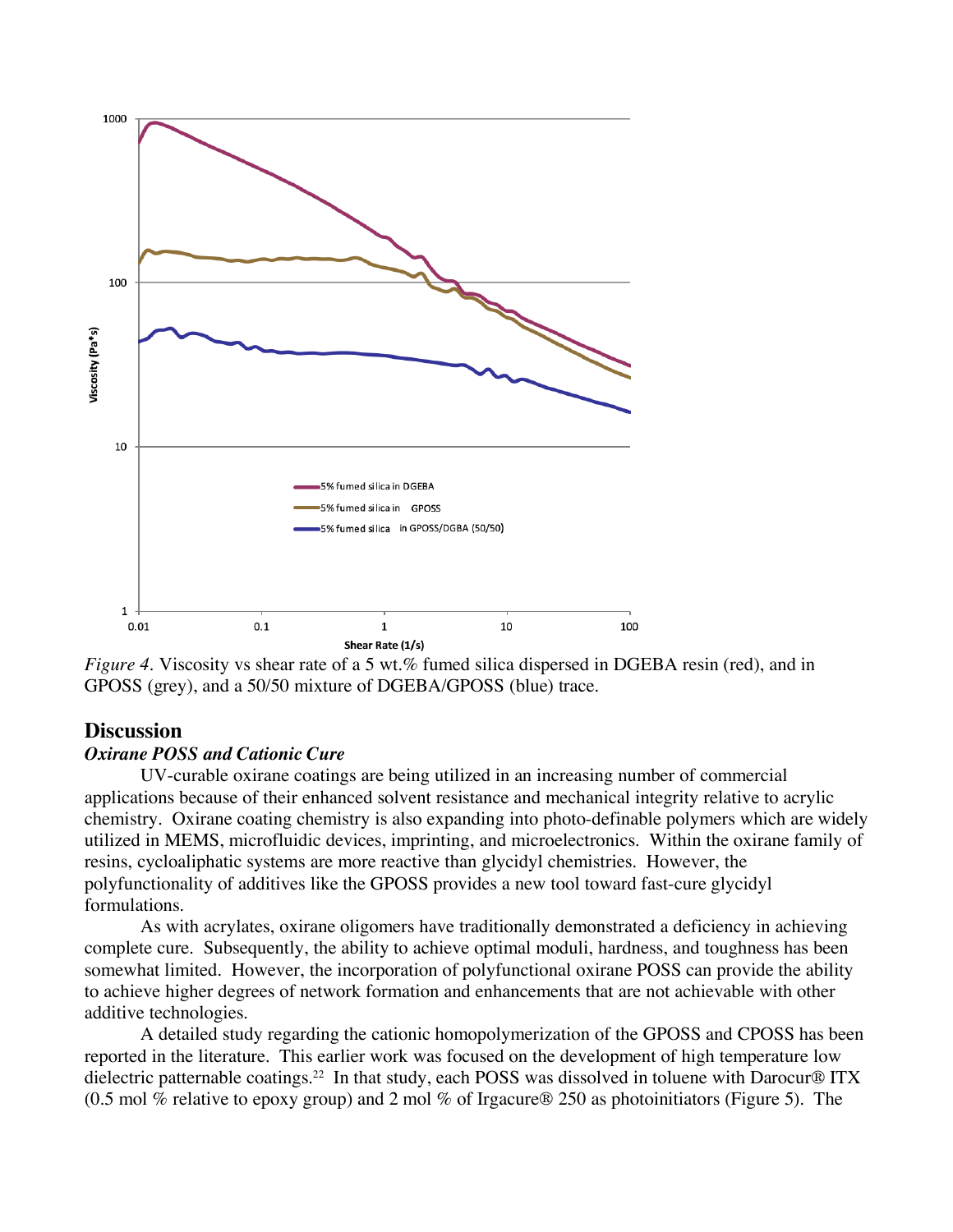

*Figure 4.* Viscosity vs shear rate of a 5 wt.% fumed silica dispersed in DGEBA resin (red), and in GPOSS (grey), and a 50/50 mixture of DGEBA/GPOSS (blue) trace.

#### **Discussion**

#### *Oxirane POSS and Cationic Cure*

UV-curable oxirane coatings are being utilized in an increasing number of commercial applications because of their enhanced solvent resistance and mechanical integrity relative to acrylic chemistry. Oxirane coating chemistry is also expanding into photo-definable polymers which are widely utilized in MEMS, microfluidic devices, imprinting, and microelectronics. Within the oxirane family of resins, cycloaliphatic systems are more reactive than glycidyl chemistries. However, the polyfunctionality of additives like the GPOSS provides a new tool toward fast-cure glycidyl formulations.

As with acrylates, oxirane oligomers have traditionally demonstrated a deficiency in achieving complete cure. Subsequently, the ability to achieve optimal moduli, hardness, and toughness has been somewhat limited. However, the incorporation of polyfunctional oxirane POSS can provide the ability to achieve higher degrees of network formation and enhancements that are not achievable with other additive technologies.

A detailed study regarding the cationic homopolymerization of the GPOSS and CPOSS has been reported in the literature. This earlier work was focused on the development of high temperature low dielectric patternable coatings.<sup>22</sup> In that study, each POSS was dissolved in toluene with Darocur® ITX (0.5 mol % relative to epoxy group) and 2 mol % of Irgacure® 250 as photoinitiators (Figure 5). The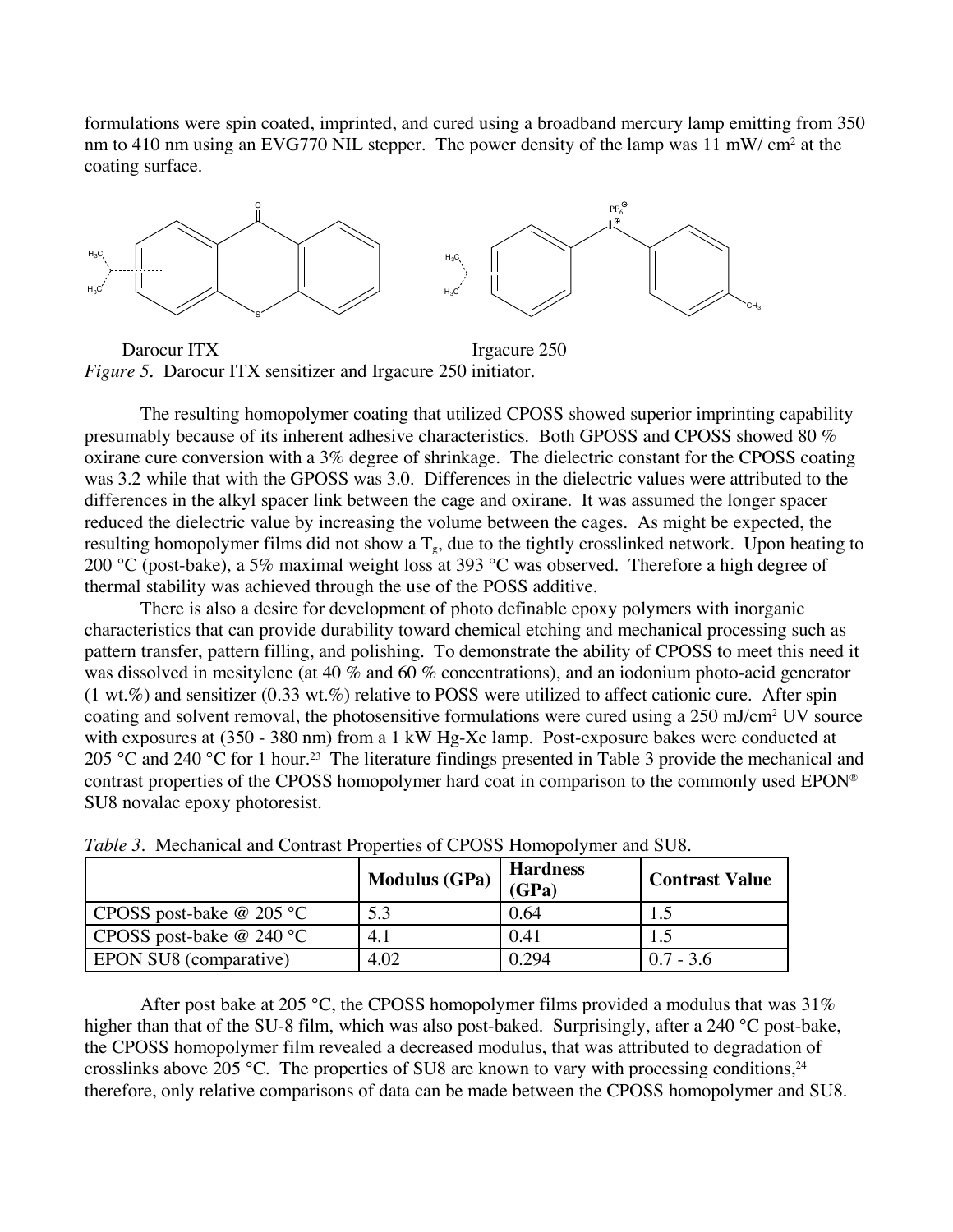formulations were spin coated, imprinted, and cured using a broadband mercury lamp emitting from 350 nm to 410 nm using an EVG770 NIL stepper. The power density of the lamp was 11 mW/ cm<sup>2</sup> at the coating surface.



Darocur ITX Irgacure 250 *Figure 5.* Darocur ITX sensitizer and Irgacure 250 initiator.

The resulting homopolymer coating that utilized CPOSS showed superior imprinting capability presumably because of its inherent adhesive characteristics. Both GPOSS and CPOSS showed 80 % oxirane cure conversion with a 3% degree of shrinkage. The dielectric constant for the CPOSS coating was 3.2 while that with the GPOSS was 3.0. Differences in the dielectric values were attributed to the differences in the alkyl spacer link between the cage and oxirane. It was assumed the longer spacer reduced the dielectric value by increasing the volume between the cages. As might be expected, the resulting homopolymer films did not show a  $T<sub>g</sub>$ , due to the tightly crosslinked network. Upon heating to 200 °C (post-bake), a 5% maximal weight loss at 393 °C was observed. Therefore a high degree of thermal stability was achieved through the use of the POSS additive.

There is also a desire for development of photo definable epoxy polymers with inorganic characteristics that can provide durability toward chemical etching and mechanical processing such as pattern transfer, pattern filling, and polishing. To demonstrate the ability of CPOSS to meet this need it was dissolved in mesitylene (at 40 % and 60 % concentrations), and an iodonium photo-acid generator  $(1 \text{ wt. %})$  and sensitizer  $(0.33 \text{ wt. %})$  relative to POSS were utilized to affect cationic cure. After spin coating and solvent removal, the photosensitive formulations were cured using a 250 mJ/cm2 UV source with exposures at (350 - 380 nm) from a 1 kW Hg-Xe lamp. Post-exposure bakes were conducted at 205 °C and 240 °C for 1 hour.<sup>23</sup> The literature findings presented in Table 3 provide the mechanical and contrast properties of the CPOSS homopolymer hard coat in comparison to the commonly used EPON® SU8 novalac epoxy photoresist.

|                               | <b>Modulus (GPa)</b> | <b>Hardness</b><br>(GPa) | <b>Contrast Value</b> |
|-------------------------------|----------------------|--------------------------|-----------------------|
| CPOSS post-bake $@$ 205 °C    | 5.3                  | 0.64                     |                       |
| CPOSS post-bake $@240 °C$     | 4.1                  | 0.41                     |                       |
| <b>EPON SU8</b> (comparative) | 4.02                 | 0.294                    | $0.7 - 3.6$           |

*Table 3.* Mechanical and Contrast Properties of CPOSS Homopolymer and SU8.

After post bake at 205 °C, the CPOSS homopolymer films provided a modulus that was 31% higher than that of the SU-8 film, which was also post-baked. Surprisingly, after a 240 °C post-bake, the CPOSS homopolymer film revealed a decreased modulus, that was attributed to degradation of crosslinks above 205 °C. The properties of SU8 are known to vary with processing conditions, $24$ therefore, only relative comparisons of data can be made between the CPOSS homopolymer and SU8.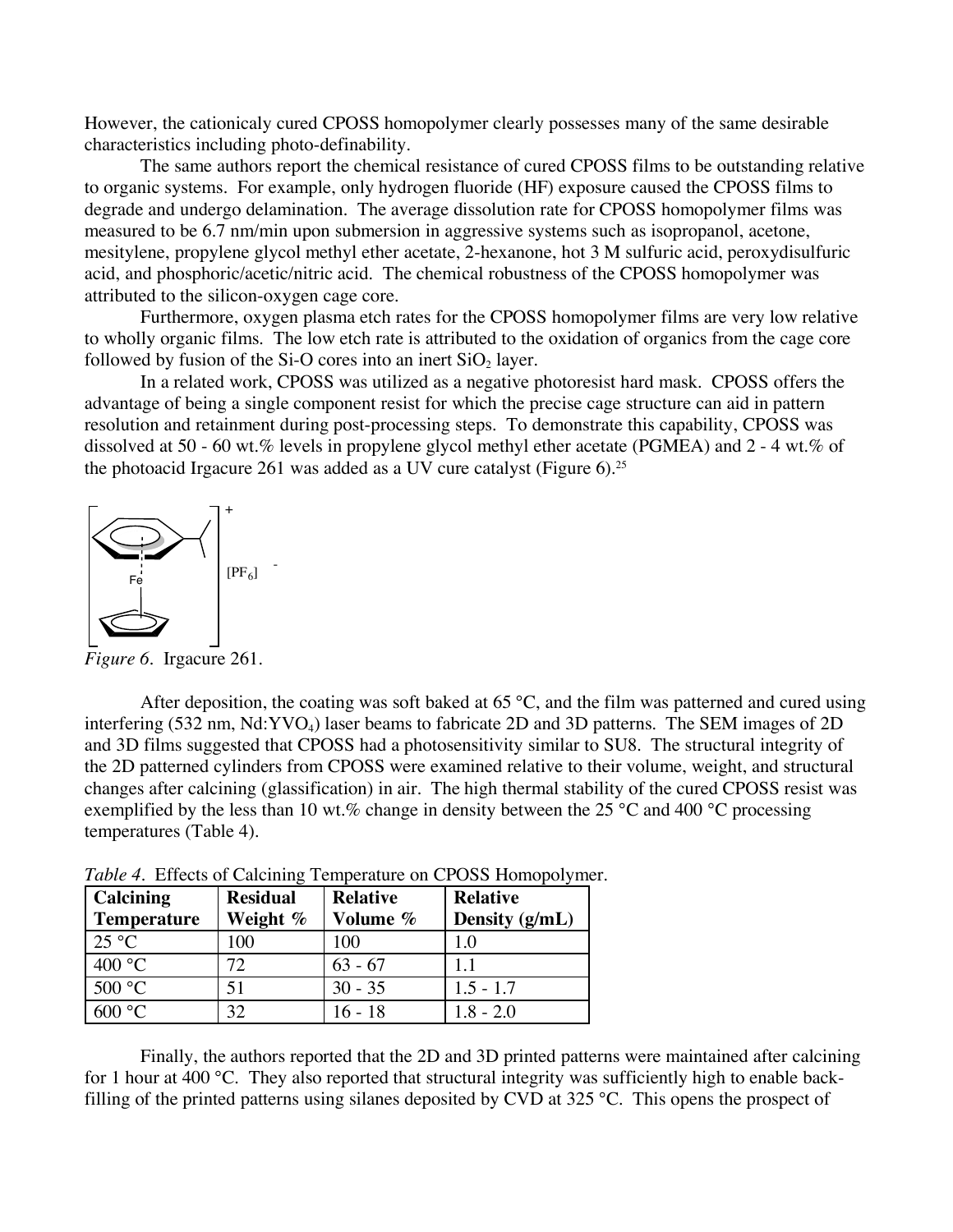However, the cationicaly cured CPOSS homopolymer clearly possesses many of the same desirable characteristics including photo-definability.

The same authors report the chemical resistance of cured CPOSS films to be outstanding relative to organic systems. For example, only hydrogen fluoride (HF) exposure caused the CPOSS films to degrade and undergo delamination. The average dissolution rate for CPOSS homopolymer films was measured to be 6.7 nm/min upon submersion in aggressive systems such as isopropanol, acetone, mesitylene, propylene glycol methyl ether acetate, 2-hexanone, hot 3 M sulfuric acid, peroxydisulfuric acid, and phosphoric/acetic/nitric acid. The chemical robustness of the CPOSS homopolymer was attributed to the silicon-oxygen cage core.

Furthermore, oxygen plasma etch rates for the CPOSS homopolymer films are very low relative to wholly organic films. The low etch rate is attributed to the oxidation of organics from the cage core followed by fusion of the Si-O cores into an inert  $SiO<sub>2</sub>$  layer.

In a related work, CPOSS was utilized as a negative photoresist hard mask. CPOSS offers the advantage of being a single component resist for which the precise cage structure can aid in pattern resolution and retainment during post-processing steps. To demonstrate this capability, CPOSS was dissolved at 50 - 60 wt.% levels in propylene glycol methyl ether acetate (PGMEA) and 2 - 4 wt.% of the photoacid Irgacure 261 was added as a UV cure catalyst (Figure 6).25



*Figure 6.* Irgacure 261.

After deposition, the coating was soft baked at 65 °C, and the film was patterned and cured using interfering (532 nm, Nd:YVO<sub>4</sub>) laser beams to fabricate 2D and 3D patterns. The SEM images of 2D and 3D films suggested that CPOSS had a photosensitivity similar to SU8. The structural integrity of the 2D patterned cylinders from CPOSS were examined relative to their volume, weight, and structural changes after calcining (glassification) in air. The high thermal stability of the cured CPOSS resist was exemplified by the less than 10 wt.% change in density between the 25 °C and 400 °C processing temperatures (Table 4).

| Calcining<br><b>Temperature</b> | <b>Residual</b><br>Weight % | <b>Relative</b><br>Volume % | <b>Relative</b><br>Density (g/mL) |
|---------------------------------|-----------------------------|-----------------------------|-----------------------------------|
| $25^{\circ}$ C                  | 100                         | 100                         | 1.0                               |
| 400 °C                          | 72                          | $63 - 67$                   | 11                                |
| 500 °C                          | 51                          | $30 - 35$                   | $1.5 - 1.7$                       |
| 600 °C                          | 32                          | $16 - 18$                   | $1.8 - 2.0$                       |

*Table 4.* Effects of Calcining Temperature on CPOSS Homopolymer.

Finally, the authors reported that the 2D and 3D printed patterns were maintained after calcining for 1 hour at 400 °C. They also reported that structural integrity was sufficiently high to enable backfilling of the printed patterns using silanes deposited by CVD at 325 °C. This opens the prospect of